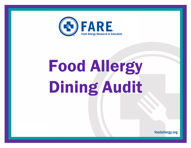

## Food Allergy Dining Audit

foodallergy.org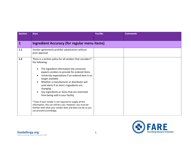| <b>Section</b> | <b>Area</b>                                                                                                                                                                                                                                                                                                                                                                                                                                                                                                                                                                                                                                                                 | Yes/No | <b>Comments</b> |
|----------------|-----------------------------------------------------------------------------------------------------------------------------------------------------------------------------------------------------------------------------------------------------------------------------------------------------------------------------------------------------------------------------------------------------------------------------------------------------------------------------------------------------------------------------------------------------------------------------------------------------------------------------------------------------------------------------|--------|-----------------|
|                |                                                                                                                                                                                                                                                                                                                                                                                                                                                                                                                                                                                                                                                                             |        |                 |
| 1              | <b>Ingredient Accuracy (for regular menu items)</b>                                                                                                                                                                                                                                                                                                                                                                                                                                                                                                                                                                                                                         |        |                 |
| $1.1$          | Vendor agreements prohibit substitutions without<br>prior approval                                                                                                                                                                                                                                                                                                                                                                                                                                                                                                                                                                                                          |        |                 |
| $1.2$          | There is a written policy for all vendors that considers*<br>the following:<br>The ingredient information the university<br>expects vendors to provide for ordered items<br>University expectations if an ordered item is no<br>$\bullet$<br>longer available<br>Whether a manufacturer or distributor will<br>send alerts if an item's ingredients are<br>changing<br>Any ingredients or items that are restricted<br>from being sold in your facility<br>* Even if your vendor is not required to supply all this<br>information, this can still be a yes. However, you must be<br>familiar with what your vendor does and does not do so you<br>can proceed accordingly. |        |                 |

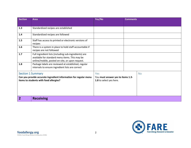| <b>Section</b>                                                                                             | <b>Area</b>                                                                                                                                                | Yes/No                                                       | <b>Comments</b> |           |
|------------------------------------------------------------------------------------------------------------|------------------------------------------------------------------------------------------------------------------------------------------------------------|--------------------------------------------------------------|-----------------|-----------|
|                                                                                                            |                                                                                                                                                            |                                                              |                 |           |
| 1.3                                                                                                        | Standardized recipes are established                                                                                                                       |                                                              |                 |           |
| 1.4                                                                                                        | Standardized recipes are followed                                                                                                                          |                                                              |                 |           |
| 1.5                                                                                                        | Staff has access to printed or electronic versions of<br>recipes                                                                                           |                                                              |                 |           |
| 1.6                                                                                                        | There is a system in place to hold staff accountable if<br>recipes are not followed                                                                        |                                                              |                 |           |
| 1.7                                                                                                        | Full ingredient lists (including sub-ingredients) are<br>available for standard menu items. This may be<br>online/mobile, posted on-site, or upon request. |                                                              |                 |           |
| 1.8                                                                                                        | Package labels are reviewed at established, regular<br>intervals to ensure ingredient lists are correct                                                    |                                                              |                 |           |
|                                                                                                            | <b>Section 1 Summary</b>                                                                                                                                   | Yes                                                          |                 | <b>No</b> |
| Can you provide accurate ingredient information for regular menu<br>items to students with food allergies? |                                                                                                                                                            | You must answer yes to items 1.3-<br>1.8 to select yes here. |                 |           |
|                                                                                                            | <b>Receiving</b>                                                                                                                                           |                                                              |                 |           |

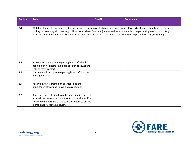| <b>Section</b> | <b>Area</b>                                                                                                                                                                                                                                                                                                                                                                                           | Yes/No | <b>Comments</b> |
|----------------|-------------------------------------------------------------------------------------------------------------------------------------------------------------------------------------------------------------------------------------------------------------------------------------------------------------------------------------------------------------------------------------------------------|--------|-----------------|
|                |                                                                                                                                                                                                                                                                                                                                                                                                       |        |                 |
| 2.1            | Watch a shipment coming in to observe any areas or items at high risk for cross-contact. Pay particular attention to items prone to<br>spilling or becoming airborne (e.g. milk cartons, wheat flour, etc.) and open items vulnerable to experiencing cross-contact (e.g.<br>produce). Based on your observations, note any areas of concern that need to be addressed in procedures and/or training: |        |                 |
| 2.2            | Procedures are in place regarding how staff should<br>handle high-risk items (e.g. bags of flour) to lower the<br>risks of cross-contact                                                                                                                                                                                                                                                              |        |                 |
| 2.3            | There is a policy in place regarding how staff handles<br>damaged items                                                                                                                                                                                                                                                                                                                               |        |                 |
| 2.4            | Receiving staff is trained on allergens and the<br>importance of working to avoid-cross-contact                                                                                                                                                                                                                                                                                                       |        |                 |
| 2.5            | Receiving staff is trained to notify a person in charge if<br>a substitute item comes in without prior notice and/or<br>to review the package of the substitute item to ensure<br>ingredient lists remain accurate                                                                                                                                                                                    |        |                 |

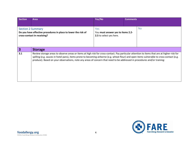| Section                                                                                                                   | Area           | Yes/No                                                                                                                                                                                                                                                                                                                                                                                                                 | <b>Comments</b> |           |  |
|---------------------------------------------------------------------------------------------------------------------------|----------------|------------------------------------------------------------------------------------------------------------------------------------------------------------------------------------------------------------------------------------------------------------------------------------------------------------------------------------------------------------------------------------------------------------------------|-----------------|-----------|--|
|                                                                                                                           |                |                                                                                                                                                                                                                                                                                                                                                                                                                        |                 |           |  |
| <b>Section 2 Summary</b><br>Do you have effective procedures in place to lower the risk of<br>cross-contact in receiving? |                | Yes<br>You must answer yes to items 2.2-<br>2.5 to select yes here.                                                                                                                                                                                                                                                                                                                                                    |                 | <b>No</b> |  |
| $\overline{\mathbf{3}}$                                                                                                   | <b>Storage</b> |                                                                                                                                                                                                                                                                                                                                                                                                                        |                 |           |  |
| 3.1                                                                                                                       |                | Review storage areas to observe areas or items at high risk for cross-contact. Pay particular attention to items that are at higher-risk for<br>spilling (e.g. sauces in hotel pans), items prone to becoming airborne (e.g. wheat flour) and open items vulnerable to cross-contact (e.g.<br>produce). Based on your observations, note any areas of concern that need to be addressed in procedures and/or training: |                 |           |  |

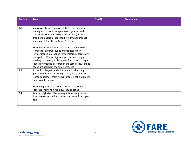| <b>Section</b> | <b>Area</b>                                                                                                                                                                                                                                                                                                                                                                                                              | Yes/No | <b>Comments</b> |
|----------------|--------------------------------------------------------------------------------------------------------------------------------------------------------------------------------------------------------------------------------------------------------------------------------------------------------------------------------------------------------------------------------------------------------------------------|--------|-----------------|
|                |                                                                                                                                                                                                                                                                                                                                                                                                                          |        |                 |
| 3.2            | Shelves or storage areas are labeled or there is a<br>planogram to keep storage areas organized and<br>consistent. This may be by product type (example:<br>bread and pasta) rather than by individual product<br>(example: John's Bread & Jane's Pasta).<br>Examples include having a separate labeled cold<br>storage for different types of products (dairy<br>refrigerator vs. a produce refrigerator), separate dry |        |                 |
|                | storage for different types of products or simply<br>labeling or creating a planogram for shared storage<br>spaces so bread is all stored in the same area, canned<br>goods are stored in the same area, etc.                                                                                                                                                                                                            |        |                 |
| 3.3            | If specific allergy-friendly items are stocked (e.g.<br>gluten-free bread, nut-free granola, etc.), they are<br>stored separately from items containing the allergens<br>they do not contain.                                                                                                                                                                                                                            |        |                 |
|                | Example: gluten-free bread should be stored on a<br>separate shelf and not below regular bread                                                                                                                                                                                                                                                                                                                           |        |                 |
| 3.4            | Items at high risk of becoming airborne (e.g. wheat<br>flour) are stored on low shelves and away from open<br>items                                                                                                                                                                                                                                                                                                      |        |                 |

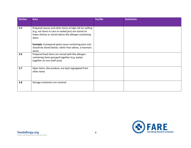| <b>Section</b> | Area                                                                                                                                                                                  | Yes/No | <b>Comments</b> |
|----------------|---------------------------------------------------------------------------------------------------------------------------------------------------------------------------------------|--------|-----------------|
| 3.5            | Prepared sauces and other items at high risk for spilling<br>(e.g. not items in cans or sealed jars) are stored on<br>lower shelves or stored above like-allergen-containing<br>items |        |                 |
|                | <b>Example:</b> A prepared pesto sauce containing pine nuts<br>should be stored below, rather than above, a marinara<br>sauce                                                         |        |                 |
| 3.6            | Prepared food items are stored with like-allergen-<br>containing items grouped together (e.g. pastas<br>together on one shelf area)                                                   |        |                 |
| 3.7            | Open items, like produce, are kept segregated from<br>other items                                                                                                                     |        |                 |
| 3.8            | Storage containers are covered                                                                                                                                                        |        |                 |

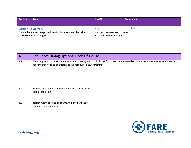| <b>Section</b>           | <b>Area</b>                                                                                                                                                                                                | Yes/No                                                        | <b>Comments</b> |
|--------------------------|------------------------------------------------------------------------------------------------------------------------------------------------------------------------------------------------------------|---------------------------------------------------------------|-----------------|
|                          |                                                                                                                                                                                                            |                                                               |                 |
| <b>Section 3 Summary</b> |                                                                                                                                                                                                            | Yes                                                           | <b>No</b>       |
|                          | Do you have effective procedures in place to lower the risk of<br>cross-contact in storage?                                                                                                                | You must answer yes to items<br>3.2 - 3.8 to select yes here. |                 |
|                          |                                                                                                                                                                                                            |                                                               |                 |
|                          |                                                                                                                                                                                                            |                                                               |                 |
| $\overline{\mathbf{4}}$  | <b>Self-Serve Dining Options: Back-Of-House</b>                                                                                                                                                            |                                                               |                 |
| 4.1                      | Observe preparation for a meal service to identify areas at high-risk for cross-contact. Based on your observations, note any areas of<br>concern that need to be addressed in procedures and/or training: |                                                               |                 |
| 4.2                      | Procedures are in place to prevent cross-contact during<br>food preparation                                                                                                                                |                                                               |                 |
| 4.3                      | Barrier methods (cutting boards, foil, etc.) are used<br>when preparing ingredients                                                                                                                        |                                                               |                 |

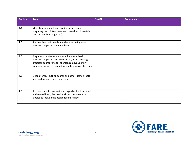| <b>Section</b> | <b>Area</b>                                                                                                                                                                                                          | Yes/No | <b>Comments</b> |
|----------------|----------------------------------------------------------------------------------------------------------------------------------------------------------------------------------------------------------------------|--------|-----------------|
|                |                                                                                                                                                                                                                      |        |                 |
| 4.4            | Meal items are each prepared separately (e.g.<br>preparing the chicken pasta and then the chicken fried<br>rice, but not both together)                                                                              |        |                 |
| 4.5            | Staff washes their hands and changes their gloves<br>between preparing each meal item                                                                                                                                |        |                 |
| 4.6            | Preparation surfaces are washed and sanitized<br>between preparing every meal item, using cleaning<br>practices appropriate for allergen removal. Simply<br>sanitizing surfaces is not adequate to remove allergens. |        |                 |
| 4.7            | Clean utensils, cutting boards and other kitchen tools<br>are used for each new meal item                                                                                                                            |        |                 |
| 4.8            | If cross-contact occurs with an ingredient not included<br>in the meal item, the meal is either thrown out or<br>labeled to include the accidental ingredient                                                        |        |                 |

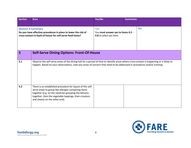| <b>Section</b>           | <b>Area</b>                                                                                                                                                                                                                                                       | Yes/No                                                               | <b>Comments</b> |           |  |
|--------------------------|-------------------------------------------------------------------------------------------------------------------------------------------------------------------------------------------------------------------------------------------------------------------|----------------------------------------------------------------------|-----------------|-----------|--|
|                          |                                                                                                                                                                                                                                                                   |                                                                      |                 |           |  |
| <b>Section 4 Summary</b> | Do you have effective procedures in place to lower the risk of<br>cross-contact in back-of-house for self-serve food items?                                                                                                                                       | Yes<br>You must answer yes to items 4.2 -<br>4.8 to select yes here. |                 | <b>No</b> |  |
| 5                        | <b>Self-Serve Dining Options: Front-Of-House</b>                                                                                                                                                                                                                  |                                                                      |                 |           |  |
| 5.1                      | Observe the self-serve areas of the dining hall for a period of time to identify areas where cross-contact is happening or is likely to<br>happen. Based on your observations, note any areas of concern that need to be addressed in procedures and/or training: |                                                                      |                 |           |  |
| 5.2                      | There is an established procedure for layout of the self-<br>serve areas to group like-allergen-containing items<br>together (e.g. on the salad bar grouping the lettuces<br>together, then the vegetable toppings, then croutons<br>and cheese on the other end) |                                                                      |                 |           |  |

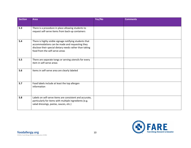| <b>Section</b> | <b>Area</b>                                                                                                                                                                                            | Yes/No | <b>Comments</b> |
|----------------|--------------------------------------------------------------------------------------------------------------------------------------------------------------------------------------------------------|--------|-----------------|
|                |                                                                                                                                                                                                        |        |                 |
| 5.3            | There is a procedure in place allowing students to<br>request self-serve items from back-up containers                                                                                                 |        |                 |
| 5.4            | There is highly visible signage notifying students that<br>accommodations can be made and requesting they<br>disclose their special dietary needs rather than taking<br>food from the self-serve areas |        |                 |
| 5.5            | There are separate tongs or serving utensils for every<br>item in self-serve areas                                                                                                                     |        |                 |
| 5.6            | Items in self-serve area are clearly labeled                                                                                                                                                           |        |                 |
| 5.7            | Food labels include at least the top allergen<br>information                                                                                                                                           |        |                 |
| 5.8            | Labels on self-serve items are consistent and accurate,<br>particularly for items with multiple ingredients (e.g.<br>salad dressings, pastas, sauces, etc.)                                            |        |                 |

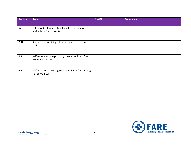| <b>Section</b> | <b>Area</b>                                                                        | Yes/No | <b>Comments</b> |
|----------------|------------------------------------------------------------------------------------|--------|-----------------|
|                |                                                                                    |        |                 |
| 5.9            | Full ingredient information for self-serve areas is<br>available online or on-site |        |                 |
| 5.10           | Staff avoids overfilling self-serve containers to prevent<br>spills                |        |                 |
| 5.11           | Self-serve areas are promptly cleaned and kept free<br>from spills and debris      |        |                 |
| 5.12           | Staff uses fresh cleaning supplies/buckets for cleaning<br>self-serve areas        |        |                 |

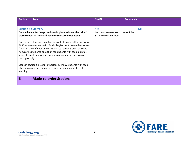| <b>Section</b>              | Area                                                                                                                                                                                                                                                                                                                                                                                                                                                                                                                                                                                                                                                 | Yes/No                                                                | <b>Comments</b> |     |
|-----------------------------|------------------------------------------------------------------------------------------------------------------------------------------------------------------------------------------------------------------------------------------------------------------------------------------------------------------------------------------------------------------------------------------------------------------------------------------------------------------------------------------------------------------------------------------------------------------------------------------------------------------------------------------------------|-----------------------------------------------------------------------|-----------------|-----|
|                             |                                                                                                                                                                                                                                                                                                                                                                                                                                                                                                                                                                                                                                                      |                                                                       |                 |     |
| backup supply.<br>warnings. | <b>Section 5 Summary</b><br>Do you have effective procedures in place to lower the risk of<br>cross-contact in front-of-house for self-serve food items?<br>Due to the risk of cross-contact in front-of-house self-serve areas,<br>FARE advises students with food allergies not to serve themselves<br>from this area. If your university passes section 5 and self-serve<br>items are considered an option for students with food allergies,<br>students must be given an option to request a serving from a<br>Steps in section 5 are still important as many students with food<br>allergies may serve themselves from this area, regardless of | Yes<br>You must answer yes to items 5.2 -<br>5.12 to select yes here. |                 | No. |
| 6                           | <b>Made-to-order Stations</b>                                                                                                                                                                                                                                                                                                                                                                                                                                                                                                                                                                                                                        |                                                                       |                 |     |

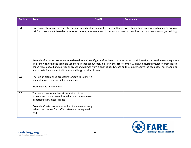| <b>Section</b> | Area                                                                                                                                                                                                                                                                                                                                                                                                                                                                                          | Yes/No | <b>Comments</b> |
|----------------|-----------------------------------------------------------------------------------------------------------------------------------------------------------------------------------------------------------------------------------------------------------------------------------------------------------------------------------------------------------------------------------------------------------------------------------------------------------------------------------------------|--------|-----------------|
|                |                                                                                                                                                                                                                                                                                                                                                                                                                                                                                               |        |                 |
| 6.1            | Order a meal as if you have an allergy to an ingredient present at the station. Watch every step of food preparation to identify areas at<br>risk for cross-contact. Based on your observations, note any areas of concern that need to be addressed in procedures and/or training:                                                                                                                                                                                                           |        |                 |
|                | Example of an issue procedure would need to address: If gluten-free bread is offered at a sandwich station, but staff makes the gluten-<br>free sandwich using the toppings used for all other sandwiches, it is likely that cross-contact will have occurred previously from gloved<br>hands (which have handled regular bread) and crumbs from preparing sandwiches on the counter above the toppings. Those toppings<br>are not safe for a student with a wheat allergy or celiac disease. |        |                 |
| 6.2            | There is an established procedure for staff to follow if a<br>student makes a special dietary meal request<br>Example: See Addendum A                                                                                                                                                                                                                                                                                                                                                         |        |                 |
| 6.3            | There are visual reminders at the station of the<br>procedure staff is expected to follow if a student makes<br>a special dietary meal request<br><b>Example:</b> Create procedures and post a laminated copy<br>behind the counter for staff to reference during meal<br>prep                                                                                                                                                                                                                |        |                 |

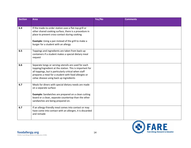| <b>Section</b> | <b>Area</b>                                                                                                                                                                                                                                                                   | Yes/No | <b>Comments</b> |
|----------------|-------------------------------------------------------------------------------------------------------------------------------------------------------------------------------------------------------------------------------------------------------------------------------|--------|-----------------|
|                |                                                                                                                                                                                                                                                                               |        |                 |
| 6.4            | If the made-to-order station uses a flat-top grill or<br>other shared cooking surface, there is a procedure in<br>place to prevent cross-contact during cooking<br><b>Example:</b> Using a pan instead of the grill to make a<br>burger for a student with an allergy         |        |                 |
| 6.5            | Toppings and ingredients are taken from back-up<br>containers if a student makes a special dietary meal<br>request                                                                                                                                                            |        |                 |
| 6.6            | Separate tongs or serving utensils are used for each<br>topping/ingredient at the station. This is important for<br>all toppings, but is particularly critical when staff<br>prepares a meal for a student with food allergies or<br>celiac disease using back up ingredients |        |                 |
| 6.7            | Meals for diners with special dietary needs are made<br>on a separate surface<br><b>Example:</b> Sandwiches are prepared on a clean cutting<br>board or a clean, separate countertop than the other<br>sandwiches are being prepared on.                                      |        |                 |
| 6.7            | If an allergy-friendly meal comes into contact or may<br>have come into contact with an allergen, it is discarded<br>and remade                                                                                                                                               |        |                 |

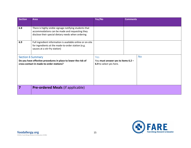| <b>Section</b>                                                                                             | <b>Area</b>                                                                                                                                                     | Yes/No                                                        | <b>Comments</b> |           |
|------------------------------------------------------------------------------------------------------------|-----------------------------------------------------------------------------------------------------------------------------------------------------------------|---------------------------------------------------------------|-----------------|-----------|
|                                                                                                            |                                                                                                                                                                 |                                                               |                 |           |
| 6.8                                                                                                        | There is highly visible signage notifying students that<br>accommodations can be made and requesting they<br>disclose their special dietary needs when ordering |                                                               |                 |           |
| 6.9                                                                                                        | Full ingredient information is available online or on-site<br>for ingredients at the made-to-order station (e.g.<br>sauces at a stir-fry station)               |                                                               |                 |           |
|                                                                                                            | <b>Section 6 Summary</b>                                                                                                                                        | Yes                                                           |                 | <b>No</b> |
| Do you have effective procedures in place to lower the risk of<br>cross-contact in made-to-order stations? |                                                                                                                                                                 | You must answer yes to items 6.2 -<br>6.9 to select yes here. |                 |           |
| 7                                                                                                          | <b>Pre-ordered Meals (if applicable)</b>                                                                                                                        |                                                               |                 |           |

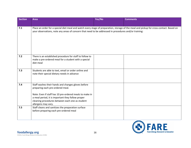| <b>Section</b> | <b>Area</b>                                                                                                                                                                                                                                                                      | Yes/No | <b>Comments</b> |
|----------------|----------------------------------------------------------------------------------------------------------------------------------------------------------------------------------------------------------------------------------------------------------------------------------|--------|-----------------|
|                |                                                                                                                                                                                                                                                                                  |        |                 |
| 7.1            | Place an order for a special diet meal and watch every stage of preparation, storage of the meal and pickup for cross-contact. Based on<br>your observations, note any areas of concern that need to be addressed in procedures and/or training:                                 |        |                 |
| $7.2$          | There is an established procedure for staff to follow to<br>make a pre-ordered meal for a student with a special<br>diet meal                                                                                                                                                    |        |                 |
| 7.3            | Students are able to text, email or order online and<br>note their special dietary needs in advance                                                                                                                                                                              |        |                 |
| 7.4            | Staff washes their hands and changes gloves before<br>preparing each pre-ordered meal.<br>Note: Even if staff has 10 pre-ordered meals to make in<br>a meal period, it is important they follow proper<br>cleaning procedures between each one as student<br>allergens may vary. |        |                 |
| 7.5            | Staff cleans and sanitizes the preparation surface<br>before preparing each pre-ordered meal                                                                                                                                                                                     |        |                 |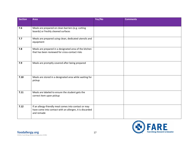| <b>Section</b> | <b>Area</b>                                                                                                                     | Yes/No | <b>Comments</b> |
|----------------|---------------------------------------------------------------------------------------------------------------------------------|--------|-----------------|
|                |                                                                                                                                 |        |                 |
| 7.6            | Meals are prepared on clean barriers (e.g. cutting<br>boards) or freshly cleaned surfaces                                       |        |                 |
| 7.7            | Meals are prepared using clean, dedicated utensils and<br>equipment                                                             |        |                 |
| 7.8            | Meals are prepared in a designated area of the kitchen<br>that has been reviewed for cross-contact risks                        |        |                 |
| 7.9            | Meals are promptly covered after being prepared                                                                                 |        |                 |
| 7.10           | Meals are stored in a designated area while waiting for<br>pickup                                                               |        |                 |
| 7.11           | Meals are labeled to ensure the student gets the<br>correct item upon pickup                                                    |        |                 |
| 7.12           | If an allergy-friendly meal comes into contact or may<br>have come into contact with an allergen, it is discarded<br>and remade |        |                 |

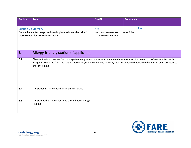| <b>Section</b> | <b>Area</b>                                                                                                                                                                                                                                                                                     | Yes/No                                                                             | <b>Comments</b> |  |
|----------------|-------------------------------------------------------------------------------------------------------------------------------------------------------------------------------------------------------------------------------------------------------------------------------------------------|------------------------------------------------------------------------------------|-----------------|--|
|                |                                                                                                                                                                                                                                                                                                 |                                                                                    |                 |  |
|                | <b>Section 7 Summary</b><br>Do you have effective procedures in place to lower the risk of<br>cross-contact for pre-ordered meals?                                                                                                                                                              | <b>No</b><br>Yes<br>You must answer yes to items 7.2 -<br>7.12 to select yes here. |                 |  |
| 8              | <b>Allergy-friendly station (if applicable)</b>                                                                                                                                                                                                                                                 |                                                                                    |                 |  |
| 8.1            | Observe the food process from storage to meal preparation to service and watch for any areas that are at risk of cross-contact with<br>allergens prohibited from the station. Based on your observations, note any areas of concern that need to be addressed in procedures<br>and/or training: |                                                                                    |                 |  |
| 8.2            | The station is staffed at all times during service                                                                                                                                                                                                                                              |                                                                                    |                 |  |
| 8.3            | The staff at the station has gone through food allergy<br>training                                                                                                                                                                                                                              |                                                                                    |                 |  |

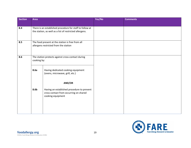| <b>Section</b> | <b>Area</b>                                                                                                         |                                                                                                           | Yes/No | <b>Comments</b> |
|----------------|---------------------------------------------------------------------------------------------------------------------|-----------------------------------------------------------------------------------------------------------|--------|-----------------|
| 8.4            | There is an established procedure for staff to follow at<br>the station, as well as a list of restricted allergens. |                                                                                                           |        |                 |
| 8.5            | The food present at the station is free from all<br>allergens restricted from the station                           |                                                                                                           |        |                 |
| 8.6            | The station protects against cross-contact during<br>cooking by:                                                    |                                                                                                           |        |                 |
|                | 8.6a                                                                                                                | Having dedicated cooking equipment<br>(ovens, microwave, grill, etc.)<br>AND/OR                           |        |                 |
|                | 8.6b                                                                                                                | Having an established procedure to prevent<br>cross-contact from occurring on shared<br>cooking equipment |        |                 |

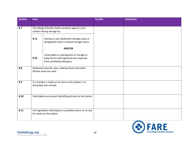| <b>Section</b> | <b>Area</b>                                                                   |                                                                                                                 | Yes/No | <b>Comments</b> |
|----------------|-------------------------------------------------------------------------------|-----------------------------------------------------------------------------------------------------------------|--------|-----------------|
|                |                                                                               |                                                                                                                 |        |                 |
| 8.7            |                                                                               | The allergy-friendly station protects against cross-<br>contact during storage by:                              |        |                 |
|                | 8.7a                                                                          | Having its own dedicated storage areas or<br>designated areas in shared storage rooms<br>AND/OR                 |        |                 |
|                | 8.7b                                                                          | Using labels or planograms in storage to<br>keep items well-organized and separate<br>from prohibited allergens |        |                 |
| 8.8            | Dedicated utensils, pans, baking sheets and other<br>kitchen tools are used   |                                                                                                                 |        |                 |
| 8.9            | If a mistake is made on an item at the station, it is<br>discarded and remade |                                                                                                                 |        |                 |
| 8.10           |                                                                               | Food labels are present identifying dishes at the station                                                       |        |                 |
| 8.11           |                                                                               | Full ingredient information is available online or on-site<br>for meals at the station                          |        |                 |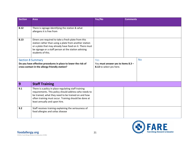| <b>Section</b>                                                                                                                               | <b>Area</b>                                                                                                                                                                                                                                                    | Yes/No                                                                | <b>Comments</b> |
|----------------------------------------------------------------------------------------------------------------------------------------------|----------------------------------------------------------------------------------------------------------------------------------------------------------------------------------------------------------------------------------------------------------------|-----------------------------------------------------------------------|-----------------|
| 8.12                                                                                                                                         | There is signage identifying the station & what<br>allergens it is free from                                                                                                                                                                                   |                                                                       |                 |
| 8.13                                                                                                                                         | Diners are required to take a fresh plate from this<br>station rather than using a plate from another station<br>or a plate that may already have food on it. There must<br>be signage or a staff person at the station advising<br>students of this.          |                                                                       |                 |
| <b>Section 8 Summary</b><br>Do you have effective procedures in place to lower the risk of<br>cross-contact in the allergy-friendly station? |                                                                                                                                                                                                                                                                | Yes<br>You must answer yes to items 8.3 -<br>8.13 to select yes here. | <b>No</b>       |
| 9                                                                                                                                            | <b>Staff Training</b>                                                                                                                                                                                                                                          |                                                                       |                 |
| 9.1                                                                                                                                          | There is a policy in place regulating staff training<br>requirements. This policy should address who needs to<br>be trained, what they need to be trained on and how<br>often training must occur. Training should be done at<br>least annually and upon hire. |                                                                       |                 |
| 9.2                                                                                                                                          | Staff receives training explaining the seriousness of<br>food allergies and celiac disease                                                                                                                                                                     |                                                                       |                 |

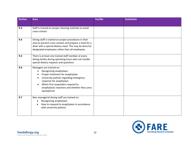| <b>Section</b> | <b>Area</b>                                                                                                                                                                                                                                                                                                | Yes/No | <b>Comments</b> |
|----------------|------------------------------------------------------------------------------------------------------------------------------------------------------------------------------------------------------------------------------------------------------------------------------------------------------------|--------|-----------------|
|                |                                                                                                                                                                                                                                                                                                            |        |                 |
| 9.3            | Staff is trained on proper cleaning methods to avoid<br>cross-contact                                                                                                                                                                                                                                      |        |                 |
| 9.4            | Dining staff is trained on proper procedures in their<br>area to prevent cross-contact and prepare a meal for a<br>diner with a special dietary need. This may be done for<br>designated employees rather than all employees.                                                                              |        |                 |
| 9.5            | There is at least one trained staff member at every<br>dining facility during operating hours who can handle<br>special dietary requests and questions                                                                                                                                                     |        |                 |
| 9.6            | Managers are trained on:<br>Recognizing anaphylaxis<br>$\bullet$<br>Proper treatment for anaphylaxis<br>$\bullet$<br>University policies regarding emergency<br>$\bullet$<br>response for anaphylaxis<br>Which first responders respond to<br>anaphylactic reactions and whether they carry<br>epinephrine |        |                 |
| 9.7            | Non-managerial dining staff are trained on:<br>Recognizing anaphylaxis<br>$\bullet$<br>How to respond to anaphylaxis in accordance<br>with university policies                                                                                                                                             |        |                 |

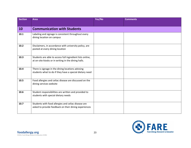| <b>Section</b> | <b>Area</b>                                                                                                       | Yes/No | <b>Comments</b> |
|----------------|-------------------------------------------------------------------------------------------------------------------|--------|-----------------|
|                |                                                                                                                   |        |                 |
| 10             | <b>Communication with Students</b>                                                                                |        |                 |
| 10.1           | Labeling and signage is consistent throughout every<br>dining location on campus                                  |        |                 |
| 10.2           | Disclaimers, in accordance with university policy, are<br>posted at every dining location                         |        |                 |
| 10.3           | Students are able to access full ingredient lists online,<br>at on-site kiosks or in writing in the dining halls. |        |                 |
| 10.4           | There is signage in the dining locations advising<br>students what to do if they have a special dietary need      |        |                 |
| 10.5           | Food allergies and celiac disease are discussed on the<br>dining services website                                 |        |                 |
| 10.6           | Student responsibilities are written and provided to<br>students with special dietary needs                       |        |                 |
| 10.7           | Students with food allergies and celiac disease are<br>asked to provide feedback on their dining experiences      |        |                 |

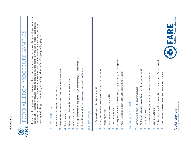| c |
|---|
|   |
|   |
|   |
|   |
|   |
|   |
|   |
|   |



Please note that the proper steps to prepare allergy-friendly foods may vary in your facility and from station to Please note that the proper steps to prepare allergy-friendly foods may vary in your facility and from station to station. These sample procedures should be used as a starting point only, and the specifics of each facility station. These sample procedures should be used as a starting point only, and the specifics of each facility should be considered when creating a final procedure to prevent cross-contact. For more information on should be considered when creating a final procedure to prevent cross-contact. For more information on creating food allergy procedures for your facility, visit www.foodallergy.org/collegeprogram creating food allergy procedures for your facility, visit www.foodallergy.org/collegeprogram

## SANDWICH STATION SANDWICH STATION

- Confirm which item(s) the diner must avoid  $\Box$  Confirm which item(s) the diner must avoid  $\Box$
- Wash your hands with soap and water and dry with a clean cloth Wash your hands with soap and water and dry with a clean cloth ☐
- Put on new gloves Put on new gloves ☐
- Use a clean cutting board to prepare the sandwich on  $\Box$  Use a clean cutting board to prepare the sandwich on ☐
- Use a clean utensils Use a clean utensils ☐
- Get ingredients from backup containers, using fresh tongs for each ingredient Get ingredients from backup containers, using fresh tongs for each ingredient ☐
- Place the sandwich on a clean plate and hand directly to the diner  $\Box$  Place the sandwich on a clean plate and hand directly to the diner ☐

#### STIR-FRY STATION STIR-FRY STATION

- Confirm which item(s) the diner must avoid  $\Box$  Confirm which item(s) the diner must avoid  $\Box$
- Wash your hands with soap and water and dry with a clean cloth Wash your hands with soap and water and dry with a clean cloth ☐
- Put on new gloves Put on new gloves ☐
- Use a clean pan to cook the meal in Use a clean pan to cook the meal in ☐
- Use a clean utensils Use a clean utensils ☐
- Get ingredients from backup containers, using fresh tongs for each ingredient Get ingredients from backup containers, using fresh tongs for each ingredient ☐
- Place the meal on a clean plate and hand directly to the diner  $\Box$  Place the meal on a clean plate and hand directly to the diner ☐

## FLAT-TOP GRILL STATION FLAT-TOP GRILL STATION

- Confirm which item(s) the diner must avoid  $\Box$  Confirm which item(s) the diner must avoid  $\Box$
- Wash your hands with soap and water and dry with a clean cloth Wash your hands with soap and water and dry with a clean cloth ☐
- Put on new gloves Put on new gloves ☐
- Lay down foil on the grill surface to use for preparation of meal  $\Box$  Lay down foil on the grill surface to use for preparation of meal ☐
- Use a clean utensils Use a clean utensils ☐
- Get ingredients from backup containers, using fresh tongs for each ingredient Get ingredients from backup containers, using fresh tongs for each ingredient ☐
- Place the meal on a clean plate and hand directly to the diner  $\Box$  Place the meal on a clean plate and hand directly to the diner  $\Box$